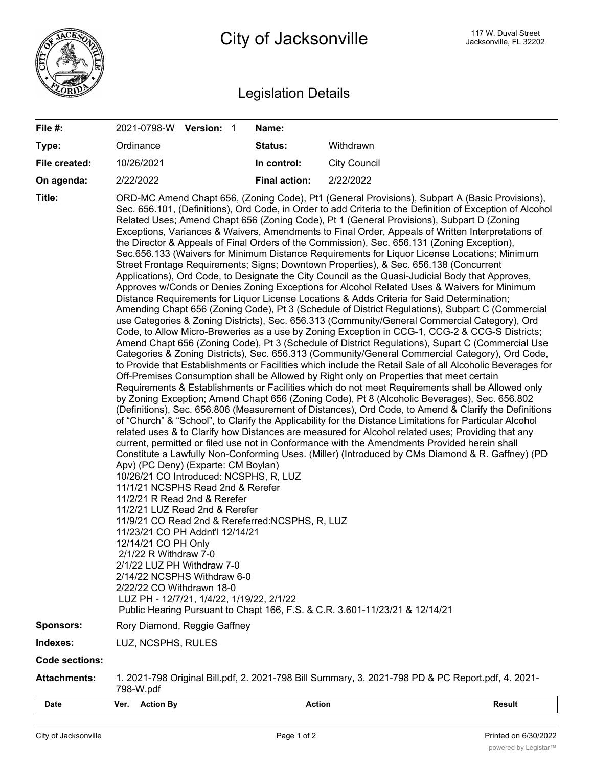

## Legislation Details

| File #:               | 2021-0798-W Version: 1                                                                                                                                                                                                                                                                                                                                                                                                                                                                                                                                                            | Name:                |                                                                                                                                                                                                                                                                                                                                                                                                                                                                                                                                                                                                                                                                                                                                                                                                                                                                                                                                                                                                                                                                                                                                                                                                                                                                                                                                                                                                                                                                                                                                                                                                                                                                                                                                                                                                                                                                                                                                                                                                                                                                                                                                                                                                                                                                                                                                                                                                                                                               |  |
|-----------------------|-----------------------------------------------------------------------------------------------------------------------------------------------------------------------------------------------------------------------------------------------------------------------------------------------------------------------------------------------------------------------------------------------------------------------------------------------------------------------------------------------------------------------------------------------------------------------------------|----------------------|---------------------------------------------------------------------------------------------------------------------------------------------------------------------------------------------------------------------------------------------------------------------------------------------------------------------------------------------------------------------------------------------------------------------------------------------------------------------------------------------------------------------------------------------------------------------------------------------------------------------------------------------------------------------------------------------------------------------------------------------------------------------------------------------------------------------------------------------------------------------------------------------------------------------------------------------------------------------------------------------------------------------------------------------------------------------------------------------------------------------------------------------------------------------------------------------------------------------------------------------------------------------------------------------------------------------------------------------------------------------------------------------------------------------------------------------------------------------------------------------------------------------------------------------------------------------------------------------------------------------------------------------------------------------------------------------------------------------------------------------------------------------------------------------------------------------------------------------------------------------------------------------------------------------------------------------------------------------------------------------------------------------------------------------------------------------------------------------------------------------------------------------------------------------------------------------------------------------------------------------------------------------------------------------------------------------------------------------------------------------------------------------------------------------------------------------------------------|--|
| Type:                 | Ordinance                                                                                                                                                                                                                                                                                                                                                                                                                                                                                                                                                                         | Status:              | Withdrawn                                                                                                                                                                                                                                                                                                                                                                                                                                                                                                                                                                                                                                                                                                                                                                                                                                                                                                                                                                                                                                                                                                                                                                                                                                                                                                                                                                                                                                                                                                                                                                                                                                                                                                                                                                                                                                                                                                                                                                                                                                                                                                                                                                                                                                                                                                                                                                                                                                                     |  |
| File created:         | 10/26/2021                                                                                                                                                                                                                                                                                                                                                                                                                                                                                                                                                                        | In control:          | <b>City Council</b>                                                                                                                                                                                                                                                                                                                                                                                                                                                                                                                                                                                                                                                                                                                                                                                                                                                                                                                                                                                                                                                                                                                                                                                                                                                                                                                                                                                                                                                                                                                                                                                                                                                                                                                                                                                                                                                                                                                                                                                                                                                                                                                                                                                                                                                                                                                                                                                                                                           |  |
| On agenda:            | 2/22/2022                                                                                                                                                                                                                                                                                                                                                                                                                                                                                                                                                                         | <b>Final action:</b> | 2/22/2022                                                                                                                                                                                                                                                                                                                                                                                                                                                                                                                                                                                                                                                                                                                                                                                                                                                                                                                                                                                                                                                                                                                                                                                                                                                                                                                                                                                                                                                                                                                                                                                                                                                                                                                                                                                                                                                                                                                                                                                                                                                                                                                                                                                                                                                                                                                                                                                                                                                     |  |
| Title:<br>Sponsors:   | Apv) (PC Deny) (Exparte: CM Boylan)<br>10/26/21 CO Introduced: NCSPHS, R, LUZ<br>11/1/21 NCSPHS Read 2nd & Rerefer<br>11/2/21 R Read 2nd & Rerefer<br>11/2/21 LUZ Read 2nd & Rerefer<br>11/9/21 CO Read 2nd & Rereferred: NCSPHS, R, LUZ<br>11/23/21 CO PH Addnt'l 12/14/21<br>12/14/21 CO PH Only<br>2/1/22 R Withdraw 7-0<br>2/1/22 LUZ PH Withdraw 7-0<br>2/14/22 NCSPHS Withdraw 6-0<br>2/22/22 CO Withdrawn 18-0<br>LUZ PH - 12/7/21, 1/4/22, 1/19/22, 2/1/22<br>Public Hearing Pursuant to Chapt 166, F.S. & C.R. 3.601-11/23/21 & 12/14/21<br>Rory Diamond, Reggie Gaffney |                      | ORD-MC Amend Chapt 656, (Zoning Code), Pt1 (General Provisions), Subpart A (Basic Provisions),<br>Sec. 656.101, (Definitions), Ord Code, in Order to add Criteria to the Definition of Exception of Alcohol<br>Related Uses; Amend Chapt 656 (Zoning Code), Pt 1 (General Provisions), Subpart D (Zoning<br>Exceptions, Variances & Waivers, Amendments to Final Order, Appeals of Written Interpretations of<br>the Director & Appeals of Final Orders of the Commission), Sec. 656.131 (Zoning Exception),<br>Sec.656.133 (Waivers for Minimum Distance Requirements for Liquor License Locations; Minimum<br>Street Frontage Requirements; Signs; Downtown Properties), & Sec. 656.138 (Concurrent<br>Applications), Ord Code, to Designate the City Council as the Quasi-Judicial Body that Approves,<br>Approves w/Conds or Denies Zoning Exceptions for Alcohol Related Uses & Waivers for Minimum<br>Distance Requirements for Liquor License Locations & Adds Criteria for Said Determination;<br>Amending Chapt 656 (Zoning Code), Pt 3 (Schedule of District Regulations), Subpart C (Commercial<br>use Categories & Zoning Districts), Sec. 656.313 (Community/General Commercial Category), Ord<br>Code, to Allow Micro-Breweries as a use by Zoning Exception in CCG-1, CCG-2 & CCG-S Districts;<br>Amend Chapt 656 (Zoning Code), Pt 3 (Schedule of District Regulations), Supart C (Commercial Use<br>Categories & Zoning Districts), Sec. 656.313 (Community/General Commercial Category), Ord Code,<br>to Provide that Establishments or Facilities which include the Retail Sale of all Alcoholic Beverages for<br>Off-Premises Consumption shall be Allowed by Right only on Properties that meet certain<br>Requirements & Establishments or Facilities which do not meet Requirements shall be Allowed only<br>by Zoning Exception; Amend Chapt 656 (Zoning Code), Pt 8 (Alcoholic Beverages), Sec. 656.802<br>(Definitions), Sec. 656.806 (Measurement of Distances), Ord Code, to Amend & Clarify the Definitions<br>of "Church" & "School", to Clarify the Applicability for the Distance Limitations for Particular Alcohol<br>related uses & to Clarify how Distances are measured for Alcohol related uses; Providing that any<br>current, permitted or filed use not in Conformance with the Amendments Provided herein shall<br>Constitute a Lawfully Non-Conforming Uses. (Miller) (Introduced by CMs Diamond & R. Gaffney) (PD |  |
| Indexes:              | LUZ, NCSPHS, RULES                                                                                                                                                                                                                                                                                                                                                                                                                                                                                                                                                                |                      |                                                                                                                                                                                                                                                                                                                                                                                                                                                                                                                                                                                                                                                                                                                                                                                                                                                                                                                                                                                                                                                                                                                                                                                                                                                                                                                                                                                                                                                                                                                                                                                                                                                                                                                                                                                                                                                                                                                                                                                                                                                                                                                                                                                                                                                                                                                                                                                                                                                               |  |
| <b>Code sections:</b> |                                                                                                                                                                                                                                                                                                                                                                                                                                                                                                                                                                                   |                      |                                                                                                                                                                                                                                                                                                                                                                                                                                                                                                                                                                                                                                                                                                                                                                                                                                                                                                                                                                                                                                                                                                                                                                                                                                                                                                                                                                                                                                                                                                                                                                                                                                                                                                                                                                                                                                                                                                                                                                                                                                                                                                                                                                                                                                                                                                                                                                                                                                                               |  |
| <b>Attachments:</b>   | 1. 2021-798 Original Bill.pdf, 2. 2021-798 Bill Summary, 3. 2021-798 PD & PC Report.pdf, 4. 2021-<br>798-W.pdf                                                                                                                                                                                                                                                                                                                                                                                                                                                                    |                      |                                                                                                                                                                                                                                                                                                                                                                                                                                                                                                                                                                                                                                                                                                                                                                                                                                                                                                                                                                                                                                                                                                                                                                                                                                                                                                                                                                                                                                                                                                                                                                                                                                                                                                                                                                                                                                                                                                                                                                                                                                                                                                                                                                                                                                                                                                                                                                                                                                                               |  |
| Date                  | Ver.<br><b>Action By</b>                                                                                                                                                                                                                                                                                                                                                                                                                                                                                                                                                          | <b>Action</b>        | <b>Result</b>                                                                                                                                                                                                                                                                                                                                                                                                                                                                                                                                                                                                                                                                                                                                                                                                                                                                                                                                                                                                                                                                                                                                                                                                                                                                                                                                                                                                                                                                                                                                                                                                                                                                                                                                                                                                                                                                                                                                                                                                                                                                                                                                                                                                                                                                                                                                                                                                                                                 |  |